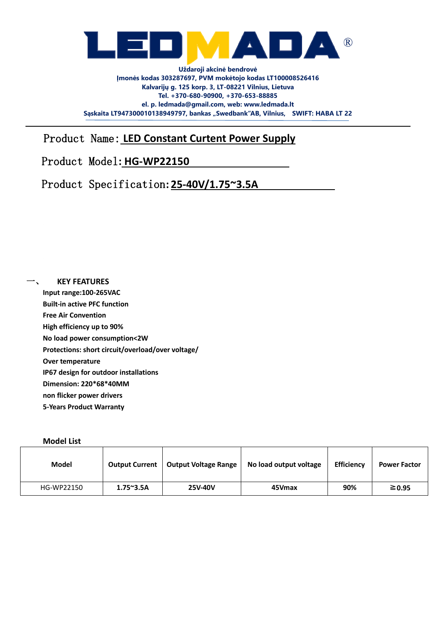

Product Name: **LED Constant Curtent Power Supply**

## Product Model**: HG-WP22150**

Product Specification**: 25-40V/1.75~3.5A** 

**KEY FEATURES Input range:100-265VAC Built-in active PFC function Free Air Convention High efficiency up to 90% No load power consumption<2W Protections: short circuit/overload/over voltage/ Over temperature IP67 design for outdoor installations Dimension: 220\*68\*40MM non flicker power drivers 5-Years Product Warranty**

## **Model List**

| <b>Model</b> | <b>Output Current</b> | <b>Output Voltage Range</b> | No load output voltage | <b>Efficiency</b> | <b>Power Factor</b> |
|--------------|-----------------------|-----------------------------|------------------------|-------------------|---------------------|
| HG-WP22150   | $1.75^{\sim}3.5A$     | <b>25V-40V</b>              | 45Vmax                 | 90%               | $\geq 0.95$         |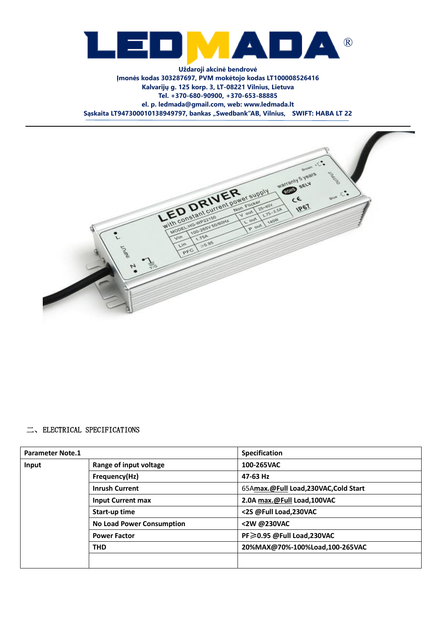



## 二、ELECTRICAL SPECIFICATIONS

| <b>Parameter Note.1</b> |                                  | <b>Specification</b>                |
|-------------------------|----------------------------------|-------------------------------------|
| Input                   | Range of input voltage           | 100-265VAC                          |
|                         | Frequency(Hz)                    | 47-63 Hz                            |
|                         | <b>Inrush Current</b>            | 65Amax.@Full Load,230VAC,Cold Start |
|                         | <b>Input Current max</b>         | 2.0A max.@Full Load,100VAC          |
|                         | Start-up time                    | <2S @Full Load,230VAC               |
|                         | <b>No Load Power Consumption</b> | <2W @230VAC                         |
|                         | <b>Power Factor</b>              | PF≥0.95 @Full Load,230VAC           |
|                         | <b>THD</b>                       | 20%MAX@70%-100%Load,100-265VAC      |
|                         |                                  |                                     |
|                         |                                  |                                     |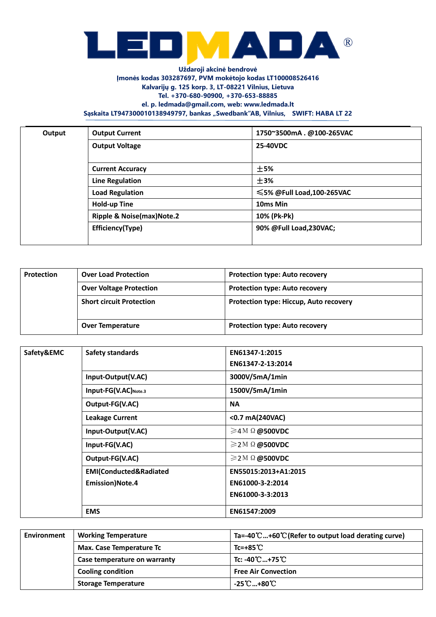

**Uždaroji akcinė bendrovė Įmonės kodas 303287697, PVM mokėtojo kodas LT100008526416 Kalvarijų g. 125 korp. 3, LT-08221 Vilnius, Lietuva Tel. +370-680-90900, +370-653-88885 el. p. ledmada@gmail.com, web: www.ledmada.lt**

Sąskaita LT947300010138949797, bankas "Swedbank"AB, Vilnius, SWIFT: HABA LT 22

| Output | <b>Output Current</b>                | 1750~3500mA.@100-265VAC   |
|--------|--------------------------------------|---------------------------|
|        | <b>Output Voltage</b>                | 25-40VDC                  |
|        |                                      |                           |
|        | <b>Current Accuracy</b>              | ±5%                       |
|        | <b>Line Regulation</b>               | ±3%                       |
|        | <b>Load Regulation</b>               | ≤5% @Full Load,100-265VAC |
|        | <b>Hold-up Tine</b>                  | 10ms Min                  |
|        | <b>Ripple &amp; Noise(max)Note.2</b> | 10% (Pk-Pk)               |
|        | Efficiency(Type)                     | 90% @Full Load, 230VAC;   |
|        |                                      |                           |

| Protection | <b>Over Load Protection</b>     | <b>Protection type: Auto recovery</b>         |
|------------|---------------------------------|-----------------------------------------------|
|            | <b>Over Voltage Protection</b>  | <b>Protection type: Auto recovery</b>         |
|            | <b>Short circuit Protection</b> | <b>Protection type: Hiccup, Auto recovery</b> |
|            | <b>Over Temperature</b>         | <b>Protection type: Auto recovery</b>         |

| Safety&EMC | Safety standards       | EN61347-1:2015              |  |
|------------|------------------------|-----------------------------|--|
|            |                        | EN61347-2-13:2014           |  |
|            | Input-Output(V.AC)     | 3000V/5mA/1min              |  |
|            | Input-FG(V.AC)Note.3   | 1500V/5mA/1min              |  |
|            | Output-FG(V.AC)        | <b>NA</b>                   |  |
|            | <b>Leakage Current</b> | <0.7 mA(240VAC)             |  |
|            | Input-Output(V.AC)     | $\geq$ 4M $\Omega$ @500VDC  |  |
|            | Input-FG(V.AC)         | $\geq$ 2 M $\Omega$ @500VDC |  |
|            | Output-FG(V.AC)        | $\geq$ 2 M $\Omega$ @500VDC |  |
|            | EMI(Conducted&Radiated | EN55015:2013+A1:2015        |  |
|            | <b>Emission)Note.4</b> | EN61000-3-2:2014            |  |
|            |                        | EN61000-3-3:2013            |  |
|            | <b>EMS</b>             | EN61547:2009                |  |

| <b>Environment</b> | <b>Working Temperature</b>      | Ta=-40°C+60°C (Refer to output load derating curve) |
|--------------------|---------------------------------|-----------------------------------------------------|
|                    | <b>Max. Case Temperature Tc</b> | $Tc=+85^{\circ}C$                                   |
|                    | Case temperature on warranty    | Tc: -40℃…+75℃                                       |
|                    | <b>Cooling condition</b>        | <b>Free Air Convection</b>                          |
|                    | <b>Storage Temperature</b>      | -25℃…+80℃                                           |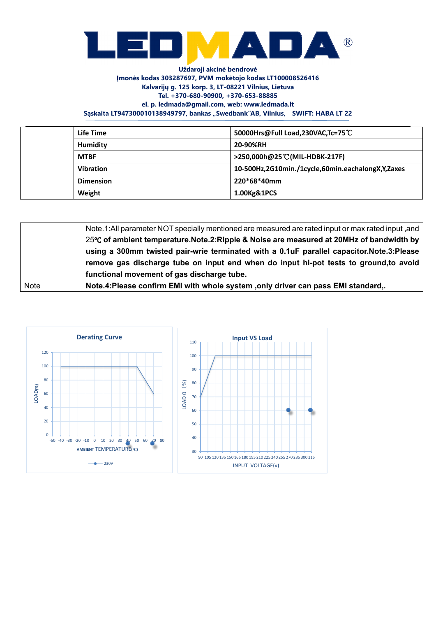

| Life Time        | 50000Hrs@Full Load,230VAC,Tc=75°C                 |
|------------------|---------------------------------------------------|
| <b>Humidity</b>  | 20-90%RH                                          |
| <b>MTBF</b>      | >250,000h@25 <sup>°</sup> C(MIL-HDBK-217F)        |
| <b>Vibration</b> | 10-500Hz,2G10min./1cycle,60min.eachalongX,Y,Zaxes |
| <b>Dimension</b> | 220*68*40mm                                       |
| Weight           | 1.00Kg&1PCS                                       |

|      | Note.1:All parameter NOT specially mentioned are measured are rated input or max rated input, and |
|------|---------------------------------------------------------------------------------------------------|
|      | 25℃ of ambient temperature.Note.2:Ripple & Noise are measured at 20MHz of bandwidth by            |
|      | using a 300mm twisted pair-wrie terminated with a 0.1uF parallel capacitor.Note.3:Please          |
|      | remove gas discharge tube on input end when do input hi-pot tests to ground, to avoid             |
|      | functional movement of gas discharge tube.                                                        |
| Note | Note.4: Please confirm EMI with whole system , only driver can pass EMI standard,.                |